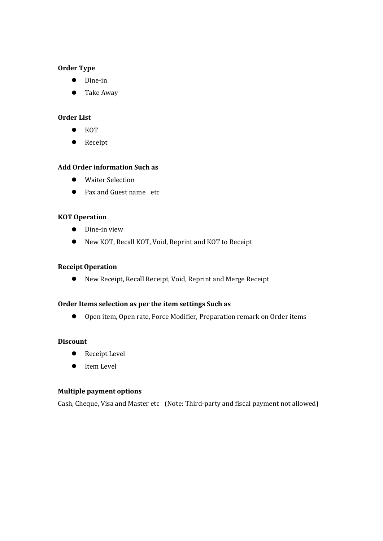## **Order Type**

- Dine-in
- Take Away

## **Order List**

- $\bullet$  KOT
- Receipt

## **Add Order information Such as**

- Waiter Selection
- Pax and Guest name etc

### **KOT Operation**

- **•** Dine-in view
- New KOT, Recall KOT, Void, Reprint and KOT to Receipt

#### **Receipt Operation**

New Receipt, Recall Receipt, Void, Reprint and Merge Receipt

## **Order Items selection as per the item settings Such as**

● Open item, Open rate, Force Modifier, Preparation remark on Order items

# **Discount**

- Receipt Level
- **•** Item Level

# **Multiple payment options**

Cash, Cheque, Visa and Master etc (Note: Third-party and fiscal payment not allowed)